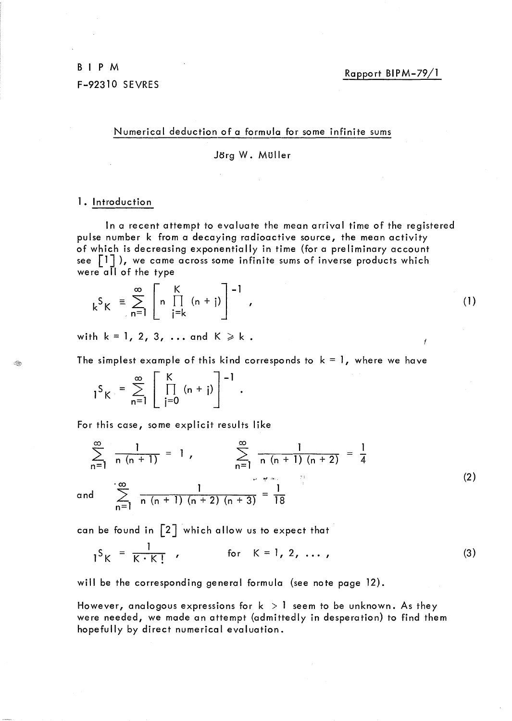Rapport BIPM-79/1

ł

Numerical deduction of a formula for some infinite sums

Jorg W. MUller

### 1. Introduction

and

Í

In a recent attempt to evaluate the mean arrival time of the registered pulse number k from a decaying radioactive source, the mean activity of which is decreasing exponentially in time (for a preliminary account see  $\lceil 1 \rceil$ ), we came across some infinite sums of inverse products which were all of the type

$$
k^{S}K = \sum_{n=1}^{\infty} \left[ n \prod_{j=k}^{K} (n+j) \right]^{-1}, \qquad (1)
$$

with  $k = 1, 2, 3, \ldots$  and  $K \ge k$ .

The simplest example of this kind corresponds to  $k = 1$ , where we have

 $S_{\mathsf{K}} = \sum_{i=1}^{\infty} \left[ \prod_{i=1}^{\mathsf{K}} (n + i) \right]^{-1}.$ n=1 | j=0

For this case, some explicit results like

$$
\sum_{n=1}^{\infty} \frac{1}{n(n+1)} = 1, \qquad \sum_{n=1}^{\infty} \frac{1}{n(n+1)(n+2)} = \frac{1}{4}
$$
  
and 
$$
\sum_{n=1}^{\infty} \frac{1}{n(n+1)(n+2)(n+3)} = \frac{1}{18}
$$
 (2)

can be found in  $\lceil 2 \rceil$  which allow us to expect that

$$
1^{S}K = \frac{1}{K \cdot K!} \t{for} K = 1, 2, ..., \t(3)
$$

will be the corresponding general formula (see note page 12).

However, analogous expressions for  $k > 1$  seem to be unknown. As they were needed, we made an attempt (admittedly in desperation) to find them hopefully by direct numerical evaluation.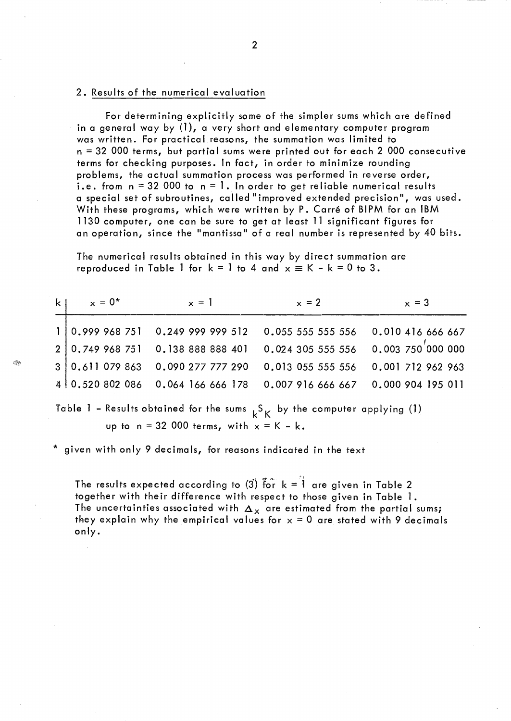# 2. Results of the numerical evaluation

For determining explicitly some of the simpler sums which are defined in a general way by (1), a very short and elementary computer program was written. For practical reasons, the summation was limited to  $n = 32,000$  terms, but partial sums were printed out for each 2,000 consecutive terms for checking purposes. In fact, in order to minimize rounding problems, the actual summation process was performed in reverse order, i.e. from  $n = 32000$  to  $n = 1$ . In order to get reliable numerical results a special set of subroutines, called "improved extended precision", was used. With these programs, which were written by P. Carré of BIPM for an IBM 1130 computer, one can be sure to get at least 11 significant figures for an operation, since the "mantissa" of a real number is represented by 40 bits.

The numerical results obtained in this way by direct summation are reproduced in Table 1 for  $k = 1$  to 4 and  $x \equiv K - k = 0$  to 3.

| k <sub>1</sub> | $x = 0^*$ | $x = 1$ | $x = 2$                                                                       | $x = 3$ |
|----------------|-----------|---------|-------------------------------------------------------------------------------|---------|
|                |           |         | $1 0.999968751$ 0.249 999 999 512 0.055 555 555 556 0.010 416 666 667         |         |
|                |           |         | $2 0.749968751$ 0.138 888 888 401 0.024 305 555 556 0.003 750 000 000         |         |
|                |           |         | $3 0.6 1079863$ 0.090 277 777 290 0.013 055 555 556 0.001 712 962 963         |         |
|                |           |         | $4\mid 0.520\;802\;086$ 0.064 166 666 178 0.007 916 666 667 0.000 904 195 011 |         |

Table 1 - Results obtained for the sums  $k_{\rm K}$  by the computer applying (1) up to  $n = 32000$  terms, with  $x = K - k$ .

given with only 9 decimals, for reasons indicated in the text

The results expected according to (3) for  ${\bf k} = \overline{\overline{\overline{1}}}$  are given in Table 2 together with their difference with respect to those given in Table 1. The uncertainties associated with  $\Delta_{\rm x}$  are estimated from the partial sums; they explain why the empirical values for  $x = 0$  are stated with 9 decimals only.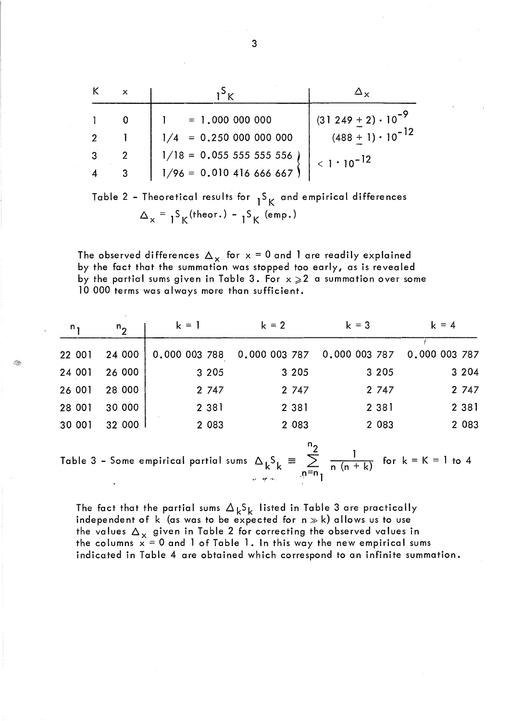| K              |                                                                |                             |
|----------------|----------------------------------------------------------------|-----------------------------|
|                | $1 = 1.0000000000$                                             | $(31249 + 2) \cdot 10^{-9}$ |
|                | $1/4 = 0.2500000000000$                                        | $(488 + 1) \cdot 10^{-12}$  |
| $\overline{3}$ | $1/18 = 0.05555555556$                                         | $< 1 \cdot 10^{-12}$        |
|                | $1/96 = 0.010416666667$                                        |                             |
|                | Table 2 - Theoretical results for -S and empirical differences |                             |

cal results for <sub>1</sub>><sub>K</sub> ana empirical  $\Delta_{\mathsf{x}} = \frac{1}{2} S_{\mathsf{K}}(\text{theor.}) - \frac{1}{2} S_{\mathsf{K}}(\text{emp.})$ 

The observed differences  $\Delta_{x}$  for  $x = 0$  and 1 are readily explained by the fact that the summation was stopped too early, as is revealed by the partial sums given in Table 3. For  $x \ge 2$  a summation over some 10 000 terms was always more than sufficient.

| n,     | $n_{\mathbf{p}}$ | $k = 1$       | $k = 2$                     | $k = 3$ | $k = 4$       |
|--------|------------------|---------------|-----------------------------|---------|---------------|
| 22 001 | 24 000           | 0.000 003 788 | 0.000 003 787 0.000 003 787 |         | 0.000 003 787 |
| 24 001 | 26 000           | 3 2 0 5       | 3 2 0 5                     | 3 2 0 5 | 3 2 0 4       |
| 26 001 | 28 000           | 2 747         | 2 747                       | 2 747   | 2 747         |
| 28 001 | 30 000           | 2 3 8 1       | 2 3 8 1                     | 2 3 8 1 | 2 3 8 1       |
| 30 001 | 32 000           | 2 0 8 3       | 2 0 8 3                     | 2 0 8 3 | 2 0 8 3       |
|        |                  |               |                             |         |               |

Table 3 – Some empirical partial sums  $\Delta_k S_k \equiv \sum_{n=m}^{n_2} \frac{1}{n(n+k)}$  for  $k = K = 1$  to 4

The fact that the partial sums  $\Delta_k S_k$  listed in Table 3 are practically independent of k (as was to be expected for  $n \gg k$ ) allows us to use the values  $\Delta_{\mathbf{x}}$  given in Table 2 for correcting the observed values in the columns  $x = 0$  and 1 of Table 1. In this way the new empirical sums indicated in Table 4 are obtained which correspond to an infinite summation.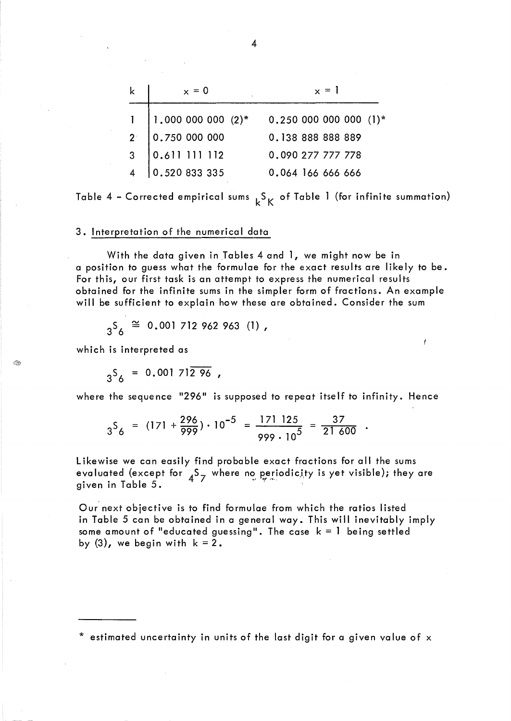|                | $x = 0$                                                          | $x = 1$               |
|----------------|------------------------------------------------------------------|-----------------------|
|                |                                                                  | $0.250000000000(1)$ * |
| 2 <sup>2</sup> | $\begin{cases} 1.000 000 000 (2)^* \\ 0.750 000 000 \end{cases}$ | 0.138 888 888 889     |
| 3 <sup>1</sup> | 10.611 111 112                                                   | 0.090 277 777 778     |
|                | 0.520833335                                                      | 0.064 166 666 666     |

Table 4 - Corrected empirical sums  $k_{K}^{S}$  of Table 1 (for infinite summation)

#### 3. Interpretation of the numerical data

With the data given in Tables 4 and 1, we might now be in a position to guess what the formulae for the exact results are likely to be. For this, our first task is an attempt to express the numerical results obtained for the infinite sums in the simpler form of fractions. An example will be sufficient to explain how these are obtained. Consider the sum

$$
3^{5}6 \stackrel{\cong}{=} 0.001712962963
$$
 (1),

which is interpreted as

 $3^{5}$  = 0.001 712 96,

where the sequence "296" is supposed to repeat itself to infinity. Hence

$$
3^{5}6 = (171 + \frac{296}{999}) \cdot 10^{-5} = \frac{171 \, 125}{999 \cdot 10^{5}} = \frac{37}{21 \, 600} \, .
$$

Likewise we can easily find probable exact fractions for all the sums evaluated (except for  $4^5$ 7 where no periodicity is yet visible); they are given in Table 5.

Our next objective is to find formulae from which the ratios listed in Table 5 can be obtained in a general way. This will inevitably imply some amount of "educated guessing". The case  $k = 1$  being settled by  $(3)$ , we begin with  $k = 2$ .

<sup>\*</sup> estimated uncertainty in units of the last digit for a given value of x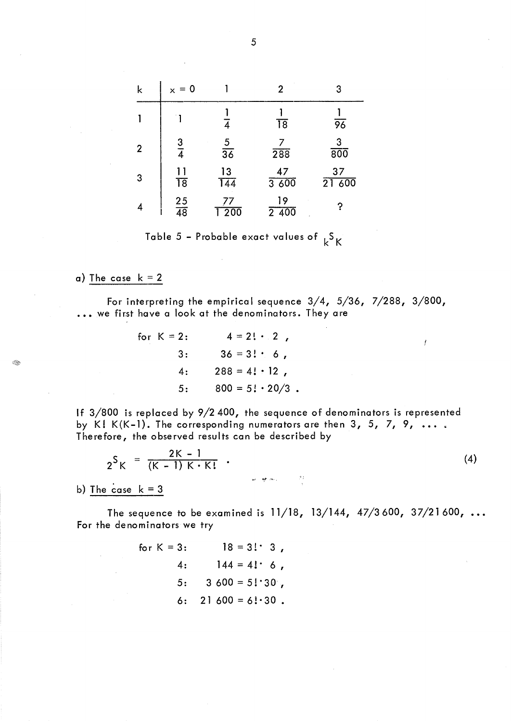| k            | $x = 0$               |                  | 2                       | 3                               |
|--------------|-----------------------|------------------|-------------------------|---------------------------------|
|              |                       | 4                | $\overline{18}$         | 96                              |
| $\mathbf{2}$ | $\frac{3}{4}$         | $\frac{5}{36}$   | 7<br>288                | $\mathsf 3$<br>$\overline{800}$ |
| 3            | 11<br>$\overline{18}$ | $\frac{13}{144}$ | 47<br>3600              | 37<br>21 600                    |
| 4            | $\frac{25}{48}$       | 77<br>200        | 19<br>$2\overline{400}$ | ?                               |

Table 5 - Probable exact values of  $k^5K$ 

# a) The case  $k = 2$

For interpreting the empirical sequence 3/4, 5/36, 7/288, 3/800, ... we first have a look at the denominators. They are

for K = 2: 
$$
4 = 2! \cdot 2
$$
,  
\n3:  $36 = 3! \cdot 6$ ,  
\n4:  $288 = 4! \cdot 12$ ,  
\n5:  $800 = 5! \cdot 20/3$ .

If 3/800 is replaced by 9/2400, the sequence of denominators is represented by K! K(K-1). The corresponding numerators are then  $3, 5, 7, 9, \ldots$ . Therefore, the observed results can be described by

$$
2^{S}K = \frac{2K - 1}{(K - 1)K \cdot K!}
$$
 (4)

 $\boldsymbol{J}$ 

b) The case  $k = 3$ 

The sequence to be examined is  $11/18$ ,  $13/144$ ,  $47/3600$ ,  $37/21600$ , ... For the denominators we try

for K = 3: 
$$
18 = 3! \cdot 3
$$
,  
\n4:  $144 = 4! \cdot 6$ ,  
\n5:  $3600 = 5! \cdot 30^{\circ}$ ,  
\n6:  $21600 = 6! \cdot 30$ .

5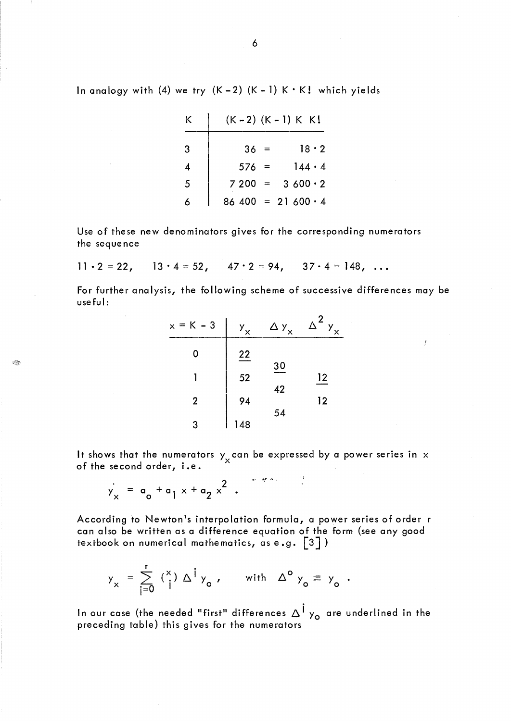| K |          | $(K - 2) (K - 1) K K!$      |
|---|----------|-----------------------------|
| 3 | $36 =$   | $18 \cdot 2$                |
|   | $576 =$  | $144 \cdot 4$               |
| 5 | $7200 =$ | 3600.2                      |
| K |          | $86\,400 = 21\,600 \cdot 4$ |

Use of these new denominators gives for the corresponding numerators the sequence

$$
11 \cdot 2 = 22
$$
,  $13 \cdot 4 = 52$ ,  $47 \cdot 2 = 94$ ,  $37 \cdot 4 = 148$ , ...

For further analysis, the following scheme of successive differences may be useful:

 $\boldsymbol{f}$ 

| $x = K - 3$    | y <sub>x</sub> | $\Delta$ у <sub>х</sub> | 2<br>Δ<br>$\mathbf{v}_{\mathbf{x}}$ |
|----------------|----------------|-------------------------|-------------------------------------|
| 0              | 22             |                         |                                     |
|                | 52             | 30                      | 12                                  |
| $\overline{2}$ | 94             | 42                      | 12                                  |
| 3              | 148            | 54                      |                                     |

It shows that the numerators  $y_x$  can be expressed by a power series in  $x$ of the second order, i.e.

 $\frac{1}{3}$ 

$$
y_x = a_0 + a_1 x + a_2 x^2
$$
.

:Q}~

According to Newton's interpolation formula, a power series of order r can also be written as a difference equation of the form (see any good textbook on numerical mathematics, as e.g. [3])

$$
y_x = \sum_{i=0}^r \binom{x}{i} \Delta^i y_o, \quad \text{with} \quad \Delta^o y_o \equiv y_o.
$$

In our case (the needed "first" differences  $\Delta^1$  y<sub>o</sub> are underlined in the preceding table) this gives for the numerators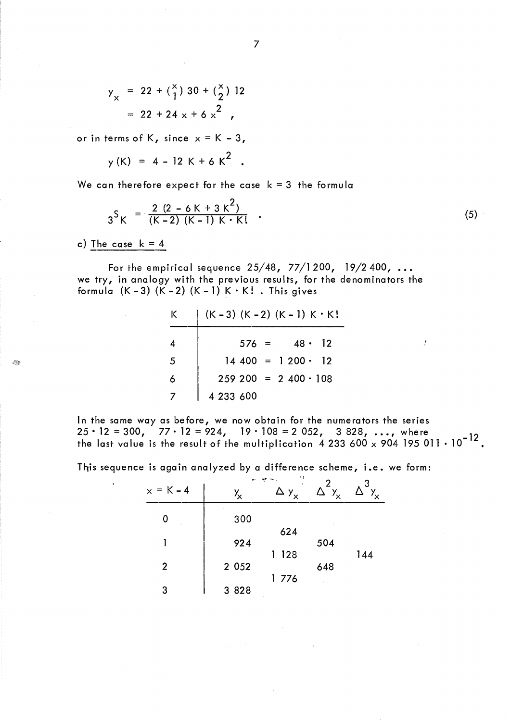$$
y_x = 22 + {x \choose 1} 30 + {x \choose 2} 12
$$
  
= 22 + 24 x + 6 x<sup>2</sup>

or in terms of K, since  $x = K - 3$ ,

$$
y(K) = 4 - 12 K + 6 K2
$$

We can therefore expect for the case  $k = 3$  the formula

$$
3^{S}K = \frac{2(2 - 6K + 3K^{2})}{(K - 2)(K - 1)K \cdot K!}
$$
 (5)

c) The case  $k = 4$ 

For the empirical sequence  $25/48$ ,  $77/1200$ ,  $19/2400$ , ... we try, in analogy with the previous results, for the denominators the formula  $(K - 3)$   $(K - 2)$   $(K - 1)$   $K \cdot K!$  . This gives

| K. | $(K-3)$ $(K-2)$ $(K-1)$ $K \cdot K!$ |
|----|--------------------------------------|
|    | $48 \cdot 12$<br>$576 =$             |
| 5  | $14400 = 1200 \cdot 12$              |
| 6  | $259\ 200 = 2\ 400 \cdot 108$        |
|    | 4 233 600                            |

In the same way as before, we now obtain for the numerators the series 25 · 12 = 300,  $77 \cdot 12 = 924$ ,  $19 \cdot 108 = 2052$ , 3828, ..., where  $_{12}$ the last value is the result of the multiplication  $4233600 \times 904195011 \cdot 10^{-12}$ .

This sequence is again analyzed by a difference scheme, i.e. we form:

|                | ų,               | 23<br>ces.<br>Ą۴ | 2                        | -3      |
|----------------|------------------|------------------|--------------------------|---------|
| $x = K - 4$    | $Y_{\mathsf{X}}$ | $\Delta$ $y_x$   | $\Delta^-\gamma_{\rm x}$ | $Y_{x}$ |
| 0              | 300              |                  |                          |         |
|                | 924              | 624              | 504                      |         |
| $\overline{2}$ | 2 0 5 2          | 128              | 648                      | 144     |
| 3              | 3 8 2 8          | 1776             |                          |         |

7

y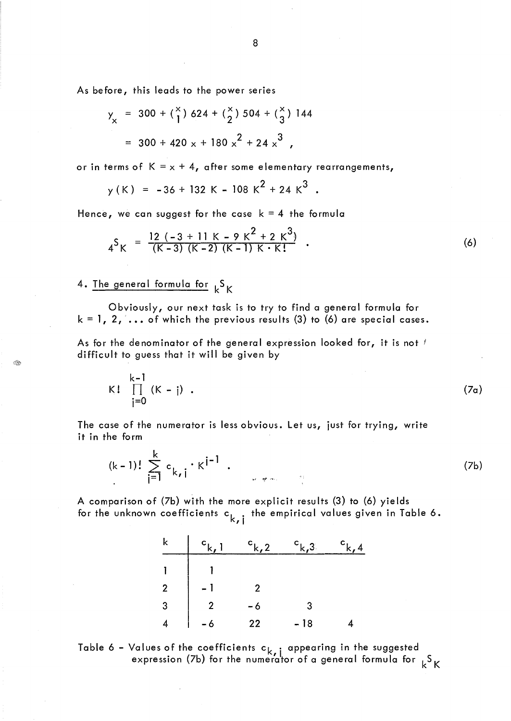As before, this leads to the power series

$$
y_x = 300 + {x \choose 1} 624 + {x \choose 2} 504 + {x \choose 3} 144
$$
  
= 300 + 420 x + 180 x<sup>2</sup> + 24 x<sup>3</sup>

or in terms of  $K = x + 4$ , after some elementary rearrangements,

$$
y(K) = -36 + 132 K - 108 K2 + 24 K3.
$$

Hence, we can suggest for the case  $k = 4$  the formula

$$
4^{S}K = \frac{12 ( -3 + 11 K - 9 K^{2} + 2 K^{3})}{(K - 3) (K - 2) (K - 1) K \cdot K!}
$$
 (6)

# 4. The general formula for  $k^{S}K$

Q,

Obviously, our next task is to try to find a general formula for  $k = 1, 2, \ldots$  of which the previous results (3) to (6) are special cases.

As for the denominator of the general expression looked for, it is not f difficult to guess that it will be given by

$$
K! \prod_{j=0}^{k-1} (K-j) . \tag{7a}
$$

The case of the numerator is less obvious. Let us, just for trying, write it in the form

$$
(k-1)! \sum_{j=1}^{k} c_{k,j} \cdot K^{j-1} . \tag{7b}
$$

A comparison of (7b) with the more explicit results (3) to (6) yields for the unknown coefficients  $c_{k, i}$  the empirical values given in Table 6.

| k              |    | k,3. |  |
|----------------|----|------|--|
|                |    |      |  |
| $\overline{2}$ |    |      |  |
| 3              |    | 3    |  |
|                | 22 | - 18 |  |



8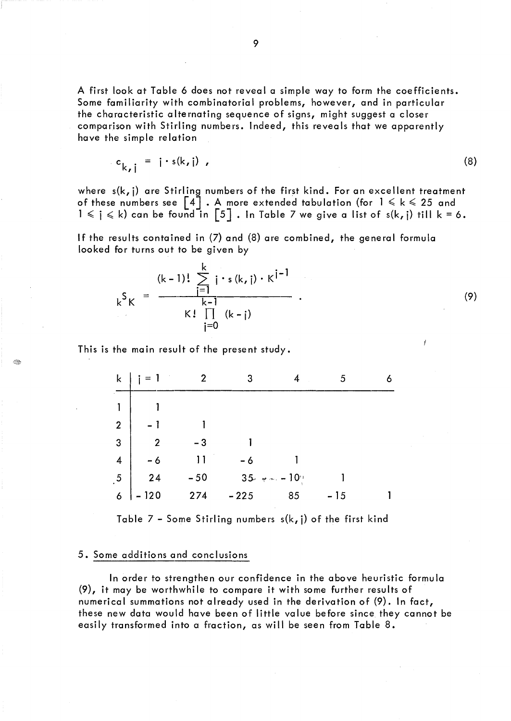A first look at Table 6 does not reveal a simple way to form the coefficients. Some familiarity with combinatorial problems, however, and in particular the characteristic alternating sequence of signs, might suggest a closer comparison with Stirling numbers. Indeed, this reveals that we apparently have the simple relation

$$
c_{k,j} = i \cdot s(k,j) \tag{8}
$$

where s(k, j) are Stirling numbers of the first kind. For an excellent treatment of these numbers see  $\left[\begin{smallmatrix}4\end{smallmatrix}\right]$  . A more extended tabulation (for  $\,$  1  $\leqslant$  k  $\leqslant$  25 and  $1 \leqslant \mathfrak{j} \leqslant \mathsf{k}$ ) can be found in  $\left[\begin{smallmatrix} 5 \end{smallmatrix}\right]$  . In Table 7 we give a list of s(k, j) till k = 6.

If the results contained in (7) and (8) are combined, the general formula looked for turns out to be given by

$$
k^{S}K = \frac{(k-1)! \sum_{j=1}^{k} i \cdot s(k, j) \cdot K^{j-1}}{k-1}
$$
  
 
$$
K! \prod_{j=0}^{k} (k-j)
$$
 (9)

This is the main result of the present study.

I.

| k               | $i = 1$ |       |                                |    | 5     |  |
|-----------------|---------|-------|--------------------------------|----|-------|--|
|                 |         |       |                                |    |       |  |
| $\overline{2}$  |         |       |                                |    |       |  |
| $\overline{3}$  | 2       | - 3   |                                |    |       |  |
| $\overline{4}$  | $-6$    | 11    | - 6                            |    |       |  |
| $\overline{.5}$ | 24      | $-50$ | $35$ w $\sim -10$ <sup>3</sup> |    |       |  |
| 6               | $-120$  | 274   | $-225$                         | 85 | $-15$ |  |

Table  $7$  - Some Stirling numbers  $s(k, j)$  of the first kind

## 5. Some additions and conclusions

In order to strengthen our confidence in the above heuristic formula (9), it may be worthwhile to compare it with some further results of numerical summations not already used in the derivation of (9). In fact, these new data would have been of little value before since. they cannot be easily transformed into a fraction, as will be seen from Table 8.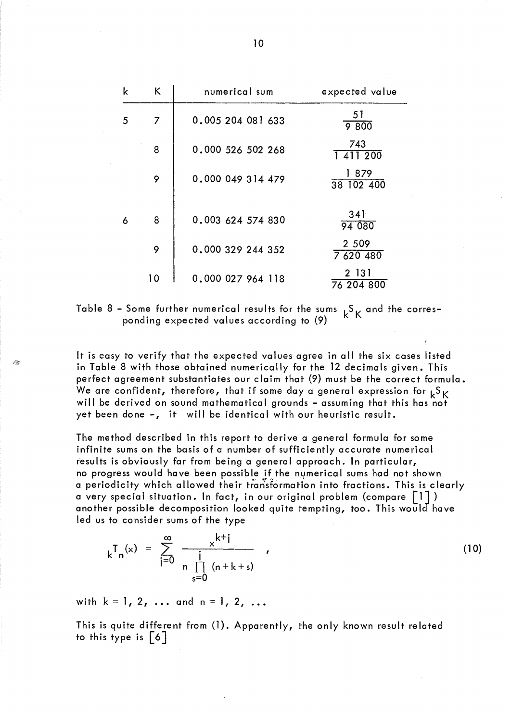| k | K  | numerical sum     | expected value       |
|---|----|-------------------|----------------------|
| 5 | 7  | 0.005 204 081 633 | 51<br>9800           |
|   | 8  | 0.000 526 502 268 | 743<br>1 4 1 1 2 0 0 |
|   | 9  | 0.000 049 314 479 | 1879<br>38 102 400   |
| 6 | 8  | 0.003 624 574 830 | 341<br>94 080        |
|   | 9  | 0.000 329 244 352 | 2 5 0 9<br>7 620 480 |
|   | 10 | 0.000 027 964 118 | 2 131<br>76 204 800  |

Table 8 - Some further numerical results for the sums  $k_K$  and the corresponding expected values according to (9)

It is easy to verify that the expected values agree in all the six cases listed in Table 8 with those obtained numerically for the 12 decimals given. This perfect agreement substantiates our claim that (9) must be the correct formula. We are confident, therefore, that if some day a general expression for  ${}_{k}S_{K}$ will be derived on sound mathematical grounds - assuming that this has not yet been done -, it will be identical with our heuristic result.

The method described in this report to derive a general formula for some infinite sums on the basis of a number of sufficiently accurate numerical results is obviously far from being a general approach. In particular, no progress would have been possible if the numerical sums had not shown a periodicity which allowed their transformation into fractions. This is clearly a very special situation. In fact, in our original problem (compare  $\lceil 1 \rceil$ ) another possible decomposition looked quite tempting, too. This would have led us to consider sums of the type

$$
{}_{k}T_{n}(x) = \sum_{j=0}^{\infty} \frac{x^{k+j}}{n \prod_{s=0}^{j} (n+k+s)}
$$
 (10)

with  $k = 1, 2, ...$  and  $n = 1, 2, ...$ 

- 19

This is quite different from (1). Apparently, the only known result related to this type is [6]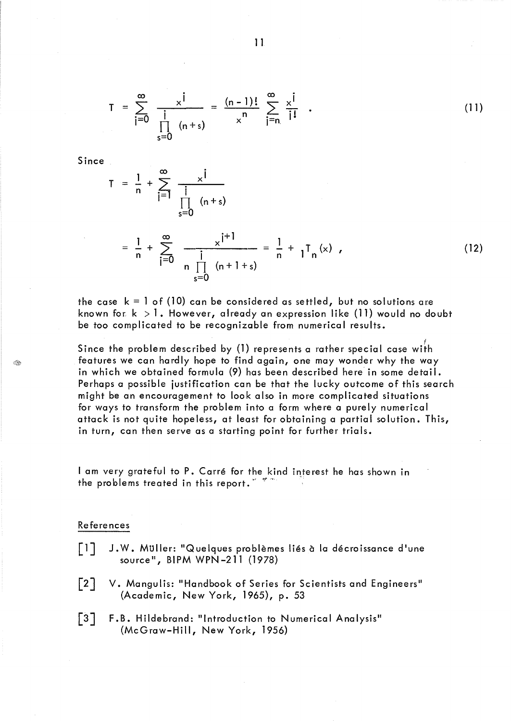$$
T = \sum_{i=0}^{\infty} \frac{x^{i}}{i} = \frac{(n-1)!}{x^{n}} \sum_{j=n}^{\infty} \frac{x^{j}}{j!} . \qquad (11)
$$

Since .

Q.

$$
T = \frac{1}{n} + \sum_{i=1}^{\infty} \frac{x^{i}}{i}
$$
  
=  $\frac{1}{n} + \sum_{i=0}^{\infty} \frac{x^{i+1}}{i}$  =  $\frac{1}{n} + \sum_{i=0}^{\infty} \frac{x^{i+1}}{i}$  =  $\frac{1}{n} + \sum_{i=0}^{\infty} (12)$ 

the case  $k = 1$  of (10) can be considered as settled, but no solutions are known for  $k > 1$ . However, already an expression like (11) would no doubt be too complicated to be recognizable from numerical results.

Since the problem described by (1) represents a rather special case with features we can hardly hope to find again, one may wonder why the way in which we obtained formula (9) has been described here in some detail. Perhaps a possible justification can be that the lucky outcome of this search might be an encouragement to look also in more complicated situations for ways to transform the problem into a form where a purely numerical attack is not quite hopeless, at least for obtaining a partial solution. This, in turn, can then serve as a starting point for further trials.

I am very grateful to P. Carré for the kind interest he has shown in the problems treated in this report.  $277$ 

### References

- $\lceil \, \rceil \rceil$ J.W. Müller: "Quelques problèmes liés à la décroissance d'une source", BIPM WPN-211 (1978)
- $\lceil 2 \rceil$ V. Mangulis: "Handbook of Series for Scientists and Engineers" (Academic, New York, 1965), p. 53
- $\lceil 3 \rceil$ F.B. Hildebrand: "Introduction to Numerical Analysis" (McGraw-Hill, New York, 1956)

11